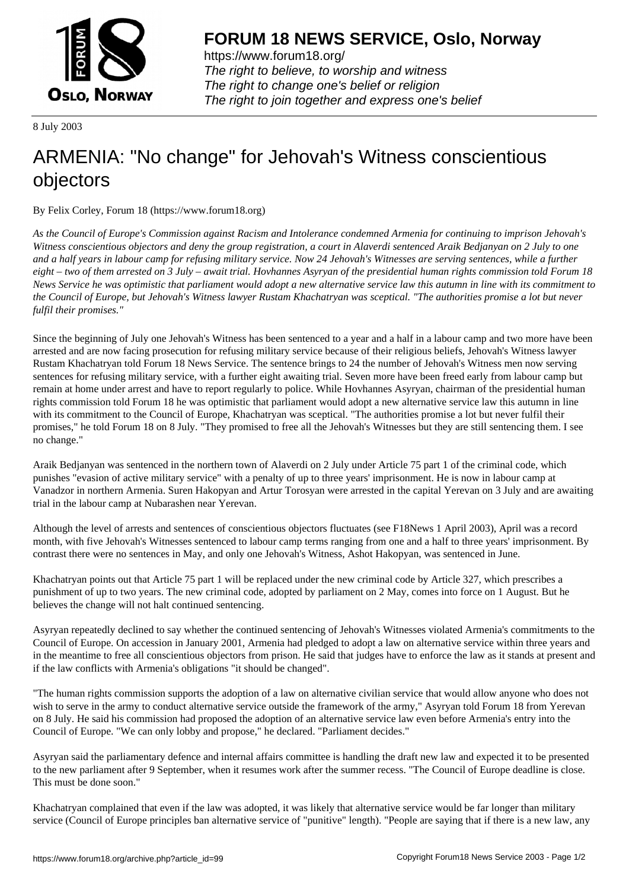

https://www.forum18.org/ The right to believe, to worship and witness The right to change one's belief or religion [The right to join together a](https://www.forum18.org/)nd express one's belief

8 July 2003

## [ARMENIA: "No](https://www.forum18.org) change" for Jehovah's Witness conscientious objectors

By Felix Corley, Forum 18 (https://www.forum18.org)

*As the Council of Europe's Commission against Racism and Intolerance condemned Armenia for continuing to imprison Jehovah's Witness conscientious objectors and deny the group registration, a court in Alaverdi sentenced Araik Bedjanyan on 2 July to one and a half years in labour camp for refusing military service. Now 24 Jehovah's Witnesses are serving sentences, while a further eight – two of them arrested on 3 July – await trial. Hovhannes Asyryan of the presidential human rights commission told Forum 18 News Service he was optimistic that parliament would adopt a new alternative service law this autumn in line with its commitment to the Council of Europe, but Jehovah's Witness lawyer Rustam Khachatryan was sceptical. "The authorities promise a lot but never fulfil their promises."*

Since the beginning of July one Jehovah's Witness has been sentenced to a year and a half in a labour camp and two more have been arrested and are now facing prosecution for refusing military service because of their religious beliefs, Jehovah's Witness lawyer Rustam Khachatryan told Forum 18 News Service. The sentence brings to 24 the number of Jehovah's Witness men now serving sentences for refusing military service, with a further eight awaiting trial. Seven more have been freed early from labour camp but remain at home under arrest and have to report regularly to police. While Hovhannes Asyryan, chairman of the presidential human rights commission told Forum 18 he was optimistic that parliament would adopt a new alternative service law this autumn in line with its commitment to the Council of Europe, Khachatryan was sceptical. "The authorities promise a lot but never fulfil their promises," he told Forum 18 on 8 July. "They promised to free all the Jehovah's Witnesses but they are still sentencing them. I see no change."

Araik Bedjanyan was sentenced in the northern town of Alaverdi on 2 July under Article 75 part 1 of the criminal code, which punishes "evasion of active military service" with a penalty of up to three years' imprisonment. He is now in labour camp at Vanadzor in northern Armenia. Suren Hakopyan and Artur Torosyan were arrested in the capital Yerevan on 3 July and are awaiting trial in the labour camp at Nubarashen near Yerevan.

Although the level of arrests and sentences of conscientious objectors fluctuates (see F18News 1 April 2003), April was a record month, with five Jehovah's Witnesses sentenced to labour camp terms ranging from one and a half to three years' imprisonment. By contrast there were no sentences in May, and only one Jehovah's Witness, Ashot Hakopyan, was sentenced in June.

Khachatryan points out that Article 75 part 1 will be replaced under the new criminal code by Article 327, which prescribes a punishment of up to two years. The new criminal code, adopted by parliament on 2 May, comes into force on 1 August. But he believes the change will not halt continued sentencing.

Asyryan repeatedly declined to say whether the continued sentencing of Jehovah's Witnesses violated Armenia's commitments to the Council of Europe. On accession in January 2001, Armenia had pledged to adopt a law on alternative service within three years and in the meantime to free all conscientious objectors from prison. He said that judges have to enforce the law as it stands at present and if the law conflicts with Armenia's obligations "it should be changed".

"The human rights commission supports the adoption of a law on alternative civilian service that would allow anyone who does not wish to serve in the army to conduct alternative service outside the framework of the army," Asyryan told Forum 18 from Yerevan on 8 July. He said his commission had proposed the adoption of an alternative service law even before Armenia's entry into the Council of Europe. "We can only lobby and propose," he declared. "Parliament decides."

Asyryan said the parliamentary defence and internal affairs committee is handling the draft new law and expected it to be presented to the new parliament after 9 September, when it resumes work after the summer recess. "The Council of Europe deadline is close. This must be done soon."

Khachatryan complained that even if the law was adopted, it was likely that alternative service would be far longer than military service (Council of Europe principles ban alternative service of "punitive" length). "People are saying that if there is a new law, any